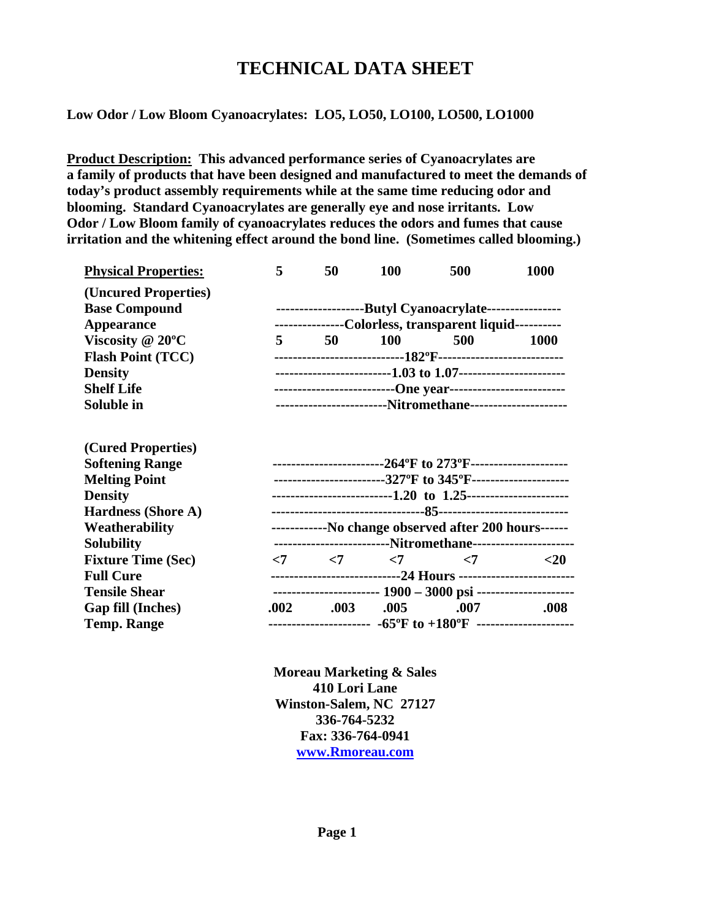# **TECHNICAL DATA SHEET**

**Low Odor / Low Bloom Cyanoacrylates: LO5, LO50, LO100, LO500, LO1000** 

**Product Description: This advanced performance series of Cyanoacrylates are a family of products that have been designed and manufactured to meet the demands of today's product assembly requirements while at the same time reducing odor and blooming. Standard Cyanoacrylates are generally eye and nose irritants. Low Odor / Low Bloom family of cyanoacrylates reduces the odors and fumes that cause irritation and the whitening effect around the bond line. (Sometimes called blooming.)** 

| <b>Physical Properties:</b> | 5                                                                               | 50                                      | 100        | 500                                     | 1000        |
|-----------------------------|---------------------------------------------------------------------------------|-----------------------------------------|------------|-----------------------------------------|-------------|
| (Uncured Properties)        |                                                                                 |                                         |            |                                         |             |
| <b>Base Compound</b>        | ---------------------Butyl Cyanoacrylate----------------                        |                                         |            |                                         |             |
| <b>Appearance</b>           | ---------------Colorless, transparent liquid----------                          |                                         |            |                                         |             |
| Viscosity $@ 20°C$          | $5^{\circ}$                                                                     | 50 -                                    | <b>100</b> | 500                                     | <b>1000</b> |
| <b>Flash Point (TCC)</b>    | ------------------------------182ºF---------------------------                  |                                         |            |                                         |             |
| <b>Density</b>              | ---------------------------1.03 to 1.07-----------------------                  |                                         |            |                                         |             |
| <b>Shelf Life</b>           | ------------------------------One year-------------------------                 |                                         |            |                                         |             |
| Soluble in                  | ------------------------Nitromethane--------------------                        |                                         |            |                                         |             |
|                             |                                                                                 |                                         |            |                                         |             |
| (Cured Properties)          |                                                                                 |                                         |            |                                         |             |
| <b>Softening Range</b>      | -------------------------264°F to 273°F---------------------                    |                                         |            |                                         |             |
| <b>Melting Point</b>        | ------------------------327°F to 345°F---------------------                     |                                         |            |                                         |             |
| <b>Density</b>              |                                                                                 |                                         |            |                                         |             |
| <b>Hardness (Shore A)</b>   |                                                                                 |                                         |            |                                         |             |
| Weatherability              | ------------No change observed after 200 hours------                            |                                         |            |                                         |             |
| <b>Solubility</b>           | -------------------------Nitromethane---------------------                      |                                         |            |                                         |             |
| <b>Fixture Time (Sec)</b>   |                                                                                 | $\langle 7 \rangle$ $\langle 7 \rangle$ |            | $\langle 7 \rangle$ $\langle 7 \rangle$ | $<$ 20      |
| <b>Full Cure</b>            | -----------------------------24 Hours -------------------------                 |                                         |            |                                         |             |
| <b>Tensile Shear</b>        |                                                                                 |                                         |            |                                         |             |
| <b>Gap fill (Inches)</b>    |                                                                                 | $.002 \t .003$                          | .005       | .007                                    | .008        |
| <b>Temp. Range</b>          | ---------------------- $-65^{\circ}F$ to $+180^{\circ}F$ ---------------------- |                                         |            |                                         |             |
|                             |                                                                                 |                                         |            |                                         |             |

**Moreau Marketing & Sales 410 Lori Lane Winston-Salem, NC 27127 336-764-5232 Fax: 336-764-0941 www.Rmoreau.com**